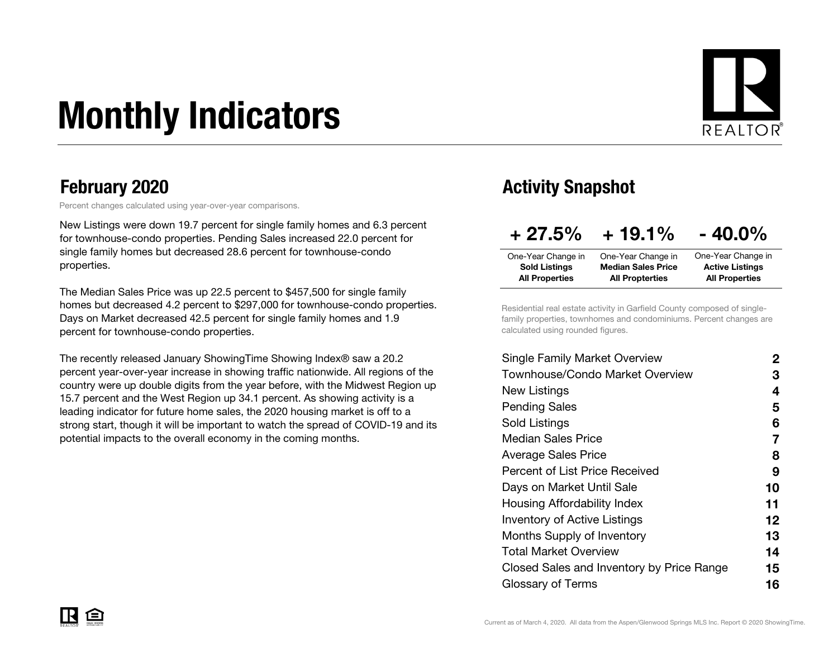# Monthly Indicators



Percent changes calculated using year-over-year comparisons.

New Listings were down 19.7 percent for single family homes and 6.3 percent for townhouse-condo properties. Pending Sales increased 22.0 percent for single family homes but decreased 28.6 percent for townhouse-condo properties.

The Median Sales Price was up 22.5 percent to \$457,500 for single family homes but decreased 4.2 percent to \$297,000 for townhouse-condo properties. Days on Market decreased 42.5 percent for single family homes and 1.9 percent for townhouse-condo properties.

The recently released January ShowingTime Showing Index<sup>®</sup> saw a 20.2 percent year-over-year increase in showing traffic nationwide. All regions of the country were up double digits from the year before, with the Midwest Region up 15.7 percent and the West Region up 34.1 percent. As showing activity is a leading indicator for future home sales, the 2020 housing market is off to a strong start, though it will be important to watch the spread of COVID-19 and its potential impacts to the overall economy in the coming months.

#### February 2020 **Activity Snapshot Activity Snapshot**

| $+27.5%$              | $+19.1%$                  | $-40.0\%$              |
|-----------------------|---------------------------|------------------------|
| One-Year Change in    | One-Year Change in        | One-Year Change in     |
| <b>Sold Listings</b>  | <b>Median Sales Price</b> | <b>Active Listings</b> |
| <b>All Properties</b> | <b>All Propterties</b>    | <b>All Properties</b>  |

Residential real estate activity in Garfield County composed of singlefamily properties, townhomes and condominiums. Percent changes are calculated using rounded figures.

| <b>Single Family Market Overview</b>      | 2  |
|-------------------------------------------|----|
| Townhouse/Condo Market Overview           | З  |
| New Listings                              | 4  |
| <b>Pending Sales</b>                      | 5  |
| Sold Listings                             | 6  |
| Median Sales Price                        | 7  |
| <b>Average Sales Price</b>                | 8  |
| Percent of List Price Received            | 9  |
| Days on Market Until Sale                 | 10 |
| Housing Affordability Index               | 11 |
| <b>Inventory of Active Listings</b>       | 12 |
| Months Supply of Inventory                | 13 |
| Total Market Overview                     | 14 |
| Closed Sales and Inventory by Price Range | 15 |
| Glossary of Terms                         | 16 |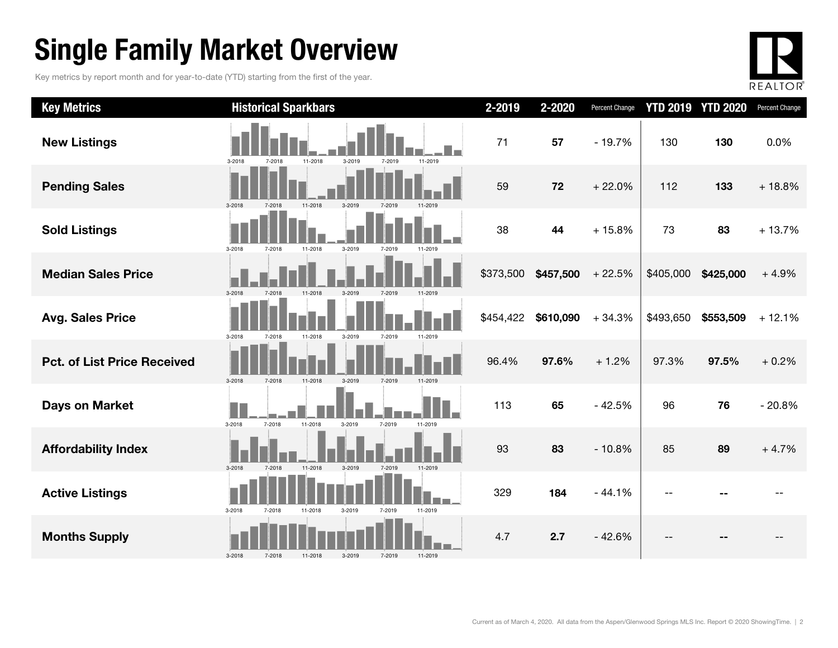### Single Family Market Overview

Key metrics by report month and for year-to-date (YTD) starting from the first of the year.



| <b>Key Metrics</b>                 | <b>Historical Sparkbars</b>                                    | 2-2019    | 2-2020    | Percent Change |           | <b>YTD 2019 YTD 2020</b> | Percent Change |
|------------------------------------|----------------------------------------------------------------|-----------|-----------|----------------|-----------|--------------------------|----------------|
| <b>New Listings</b>                | 3-2019<br>3-2018<br>7-2018<br>11-2018<br>7-2019<br>11-2019     | 71        | 57        | $-19.7%$       | 130       | 130                      | 0.0%           |
| <b>Pending Sales</b>               | 7-2018<br>3-2019<br>3-2018<br>11-2018<br>7-2019                | 59        | 72        | $+22.0%$       | 112       | 133                      | $+18.8%$       |
| <b>Sold Listings</b>               | 11-2018<br>3-2019<br>3-2018<br>7-2018<br>7-2019<br>11-2019     | 38        | 44        | $+15.8%$       | 73        | 83                       | $+13.7%$       |
| <b>Median Sales Price</b>          | 3-2018<br>7-2018<br>11-2018<br>7-2019<br>11-2019<br>3-2019     | \$373,500 | \$457,500 | $+22.5%$       | \$405,000 | \$425,000                | $+4.9%$        |
| <b>Avg. Sales Price</b>            | 3-2018<br>7-2018<br>11-2018<br>3-2019<br>7-2019<br>11-2019     | \$454,422 | \$610,090 | $+34.3%$       | \$493,650 | \$553,509                | $+12.1%$       |
| <b>Pct. of List Price Received</b> | 3-2019<br>$3 - 2018$<br>7-2018<br>11-2018<br>7-2019<br>11-2019 | 96.4%     | 97.6%     | $+1.2%$        | 97.3%     | 97.5%                    | $+0.2%$        |
| <b>Days on Market</b>              | 3-2018<br>7-2018<br>11-2018<br>3-2019<br>7-2019<br>11-2019     | 113       | 65        | $-42.5%$       | 96        | 76                       | $-20.8%$       |
| <b>Affordability Index</b>         | 11-2018<br>3-2019<br>11-2019<br>$3-2018$<br>7-2018<br>7-2019   | 93        | 83        | $-10.8%$       | 85        | 89                       | $+4.7%$        |
| <b>Active Listings</b>             | 3-2018<br>7-2018<br>11-2018<br>3-2019<br>7-2019<br>11-2019     | 329       | 184       | $-44.1%$       |           |                          |                |
| <b>Months Supply</b>               | 3-2018<br>7-2018<br>7-2019<br>11-2018<br>3-2019<br>11-2019     | 4.7       | 2.7       | $-42.6%$       |           |                          |                |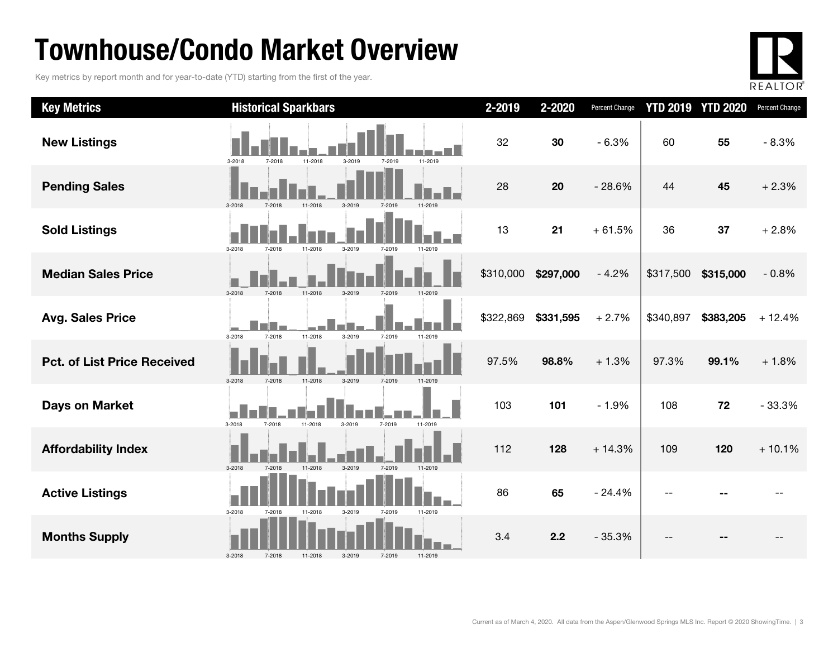### Townhouse/Condo Market Overview

Key metrics by report month and for year-to-date (YTD) starting from the first of the year.



| <b>Key Metrics</b>                 | <b>Historical Sparkbars</b>                                      | 2-2019    | 2-2020    | Percent Change |           | <b>YTD 2019 YTD 2020</b> | Percent Change |
|------------------------------------|------------------------------------------------------------------|-----------|-----------|----------------|-----------|--------------------------|----------------|
| <b>New Listings</b>                | 3-2018<br>7-2018<br>11-2018<br>3-2019<br>11-2019<br>7-2019       | 32        | 30        | $-6.3%$        | 60        | 55                       | $-8.3%$        |
| <b>Pending Sales</b>               | 3-2019<br>3-2018                                                 | 28        | 20        | $-28.6%$       | 44        | 45                       | $+2.3%$        |
| <b>Sold Listings</b>               | 3-2018<br>7-2018<br>11-2018<br>3-2019<br>7-2019<br>11-2019       | 13        | 21        | $+61.5%$       | 36        | 37                       | $+2.8%$        |
| <b>Median Sales Price</b>          | 3-2018<br>7-2018<br>11-2018<br>3-2019                            | \$310,000 | \$297,000 | $-4.2%$        | \$317,500 | \$315,000                | $-0.8%$        |
| <b>Avg. Sales Price</b>            | 11-2018<br>3-2019<br>3-2018<br>7-2018<br>7-2019<br>11-2019       | \$322,869 | \$331,595 | $+2.7%$        | \$340,897 | \$383,205                | $+12.4%$       |
| <b>Pct. of List Price Received</b> | 3-2018<br>11-2018<br>3-2019<br>7-2018<br>7-2019                  | 97.5%     | 98.8%     | $+1.3%$        | 97.3%     | 99.1%                    | $+1.8%$        |
| <b>Days on Market</b>              | I.<br>3-2018<br>7-2018<br>11-2018<br>3-2019<br>7-2019<br>11-2019 | 103       | 101       | $-1.9%$        | 108       | 72                       | $-33.3%$       |
| <b>Affordability Index</b>         | $3 - 2018$<br>7-2018<br>11-2018<br>3-2019<br>7-2019<br>11-2019   | 112       | 128       | $+14.3%$       | 109       | 120                      | $+10.1%$       |
| <b>Active Listings</b>             | 3-2018<br>11-2018<br>3-2019<br>7-2019<br>11-2019<br>7-2018       | 86        | 65        | $-24.4%$       |           |                          |                |
| <b>Months Supply</b>               | $3 - 2018$<br>7-2019<br>7-2018<br>11-2018<br>3-2019<br>11-2019   | 3.4       | 2.2       | $-35.3%$       | --        |                          |                |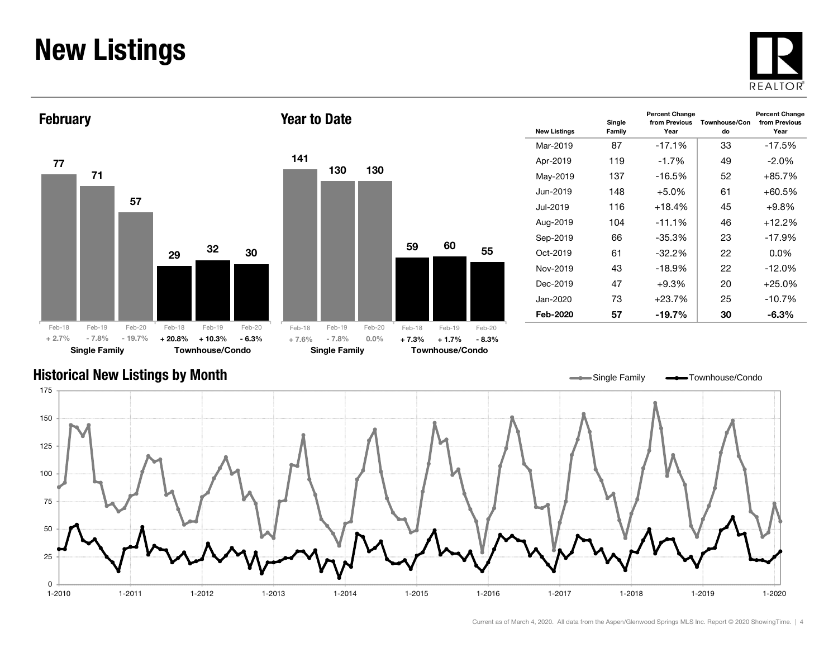### New Listings







| <b>New Listings</b> | Single<br>Family | <b>Percent Change</b><br>from Previous<br>Year | <b>Percent Change</b><br>from Previous<br>Year |          |
|---------------------|------------------|------------------------------------------------|------------------------------------------------|----------|
| Mar-2019            | 87               | $-17.1%$                                       | 33                                             | $-17.5%$ |
| Apr-2019            | 119              | $-1.7%$                                        | 49                                             | $-2.0\%$ |
| May-2019            | 137              | $-16.5%$                                       | 52                                             | $+85.7%$ |
| Jun-2019            | 148              | $+5.0%$                                        | 61                                             | $+60.5%$ |
| Jul-2019            | 116              | $+18.4%$                                       | 45                                             | $+9.8%$  |
| Aug-2019            | 104              | $-11.1%$                                       | 46                                             | $+12.2%$ |
| Sep-2019            | 66               | -35.3%                                         | 23                                             | $-17.9%$ |
| $Oct-2019$          | 61               | $-32.2\%$                                      | 22                                             | $0.0\%$  |
| Nov-2019            | 43               | $-18.9%$                                       | 22                                             | $-12.0%$ |
| Dec-2019            | 47               | $+9.3%$                                        | 20                                             | $+25.0%$ |
| Jan-2020            | 73               | $+23.7%$                                       | 25                                             | $-10.7%$ |
| Feb-2020            | 57               | -19.7%                                         | 30                                             | -6.3%    |

#### Historical New Listings by Month

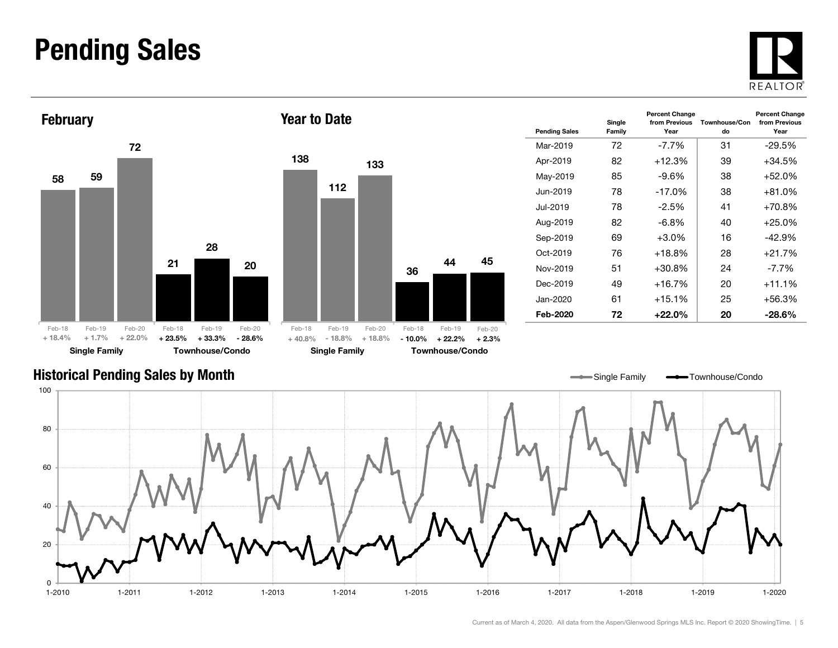#### Pending Sales







| <b>Pending Sales</b> | Single<br>Family | <b>Percent Change</b><br>from Previous<br>Year | Townhouse/Con<br>do | <b>Percent Change</b><br>from Previous<br>Year |
|----------------------|------------------|------------------------------------------------|---------------------|------------------------------------------------|
| Mar-2019             | 72               | -7.7%                                          | 31                  | $-29.5\%$                                      |
| Apr-2019             | 82               | $+12.3%$                                       | 39                  | +34.5%                                         |
| May-2019             | 85               | -9.6%                                          | 38                  | $+52.0%$                                       |
| Jun-2019.            | 78               | $-17.0\%$                                      | 38                  | $+81.0%$                                       |
| Jul-2019             | 78               | $-2.5\%$                                       | 41                  | $+70.8%$                                       |
| Aug-2019             | 82               | -6.8%                                          | 40                  | $+25.0\%$                                      |
| Sep-2019             | 69               | $+3.0%$                                        | 16                  | $-42.9%$                                       |
| Oct-2019             | 76               | $+18.8%$                                       | 28                  | $+21.7%$                                       |
| Nov-2019             | 51               | $+30.8\%$                                      | 24                  | $-7.7%$                                        |
| Dec-2019             | 49               | $+16.7%$                                       | 20                  | $+11.1%$                                       |
| Jan-2020             | 61               | $+15.1%$                                       | 25                  | +56.3%                                         |
| Feb-2020             | 72               | +22.0%                                         | 20                  | $-28.6\%$                                      |

#### Historical Pending Sales by Month

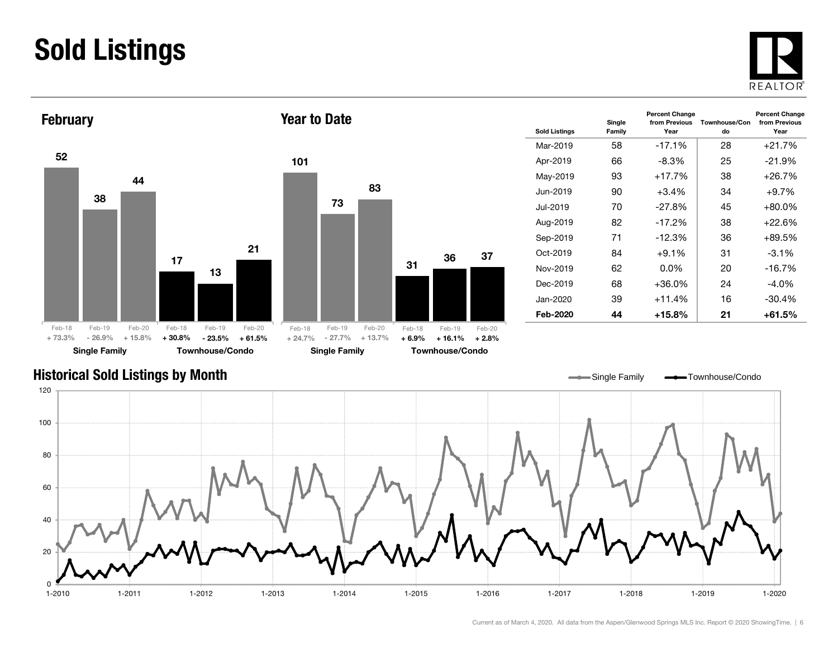### Sold Listings





| <b>Sold Listings</b> | Single<br>Family | <b>Percent Change</b><br>from Previous<br>Year | Townhouse/Con<br>do | <b>Percent Change</b><br>from Previous<br>Year |
|----------------------|------------------|------------------------------------------------|---------------------|------------------------------------------------|
| Mar-2019             | 58               | $-17.1%$                                       | 28                  | $+21.7%$                                       |
| Apr-2019             | 66               | -8.3%                                          | 25                  | $-21.9%$                                       |
| May-2019             | 93               | $+17.7%$                                       | 38                  | +26.7%                                         |
| Jun-2019             | 90               | $+3.4%$                                        | 34                  | $+9.7\%$                                       |
| Jul-2019.            | 70               | $-27.8%$                                       | 45                  | +80.0%                                         |
| Aug-2019             | 82               | $-17.2%$                                       | 38                  | +22.6%                                         |
| Sep-2019             | 71               | $-12.3%$                                       | 36                  | +89.5%                                         |
| Oct-2019             | 84               | $+9.1%$                                        | 31                  | $-3.1\%$                                       |
| Nov-2019             | 62               | $0.0\%$                                        | 20                  | -16.7%                                         |
| Dec-2019             | 68               | $+36.0%$                                       | 24                  | -4.0%                                          |
| Jan-2020             | 39               | $+11.4%$                                       | 16                  | $-30.4%$                                       |
| Feb-2020             | 44               | $+15.8\%$                                      | 21                  | +61.5%                                         |

#### Historical Sold Listings by Month

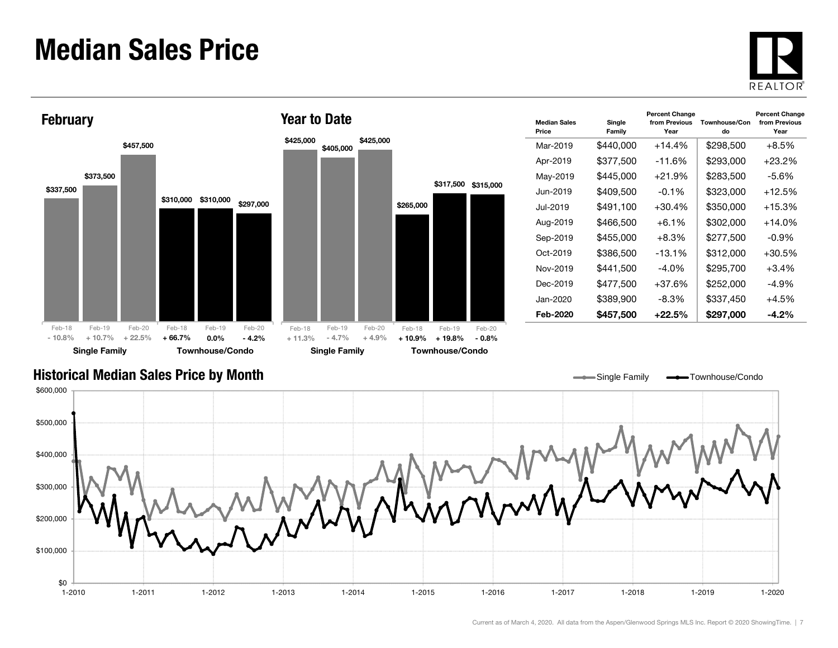#### Median Sales Price





| <b>Median Sales</b><br>Price | Single<br>Family | <b>Percent Change</b><br>from Previous<br>Year | Townhouse/Con<br>do | <b>Percent Change</b><br>from Previous<br>Year |
|------------------------------|------------------|------------------------------------------------|---------------------|------------------------------------------------|
| Mar-2019                     | \$440,000        | $+14.4%$                                       | \$298,500           | $+8.5\%$                                       |
| Apr-2019                     | \$377,500        | $-11.6%$                                       | \$293,000           | $+23.2%$                                       |
| May-2019                     | \$445,000        | $+21.9%$                                       | \$283,500           | -5.6%                                          |
| Jun-2019                     | \$409,500        | $-0.1%$                                        | \$323,000           | $+12.5%$                                       |
| Jul-2019                     | \$491,100        | $+30.4%$                                       | \$350,000           | $+15.3%$                                       |
| Aug-2019                     | \$466.500        | $+6.1\%$                                       | \$302.000           | $+14.0\%$                                      |
| Sep-2019                     | \$455,000        | $+8.3%$                                        | \$277,500           | -0.9%                                          |
| Oct-2019                     | \$386,500        | $-13.1\%$                                      | \$312,000           | $+30.5\%$                                      |
| Nov-2019                     | \$441,500        | -4.0%                                          | \$295,700           | $+3.4\%$                                       |
| Dec-2019                     | \$477,500        | $+37.6%$                                       | \$252,000           | -4.9%                                          |
| Jan-2020                     | \$389,900        | -8.3%                                          | \$337,450           | $+4.5%$                                        |
| Feb-2020                     | \$457,500        | $+22.5\%$                                      | \$297,000           | -4.2%                                          |

Single Family **-**Townhouse/Condo

#### Historical Median Sales Price by Month

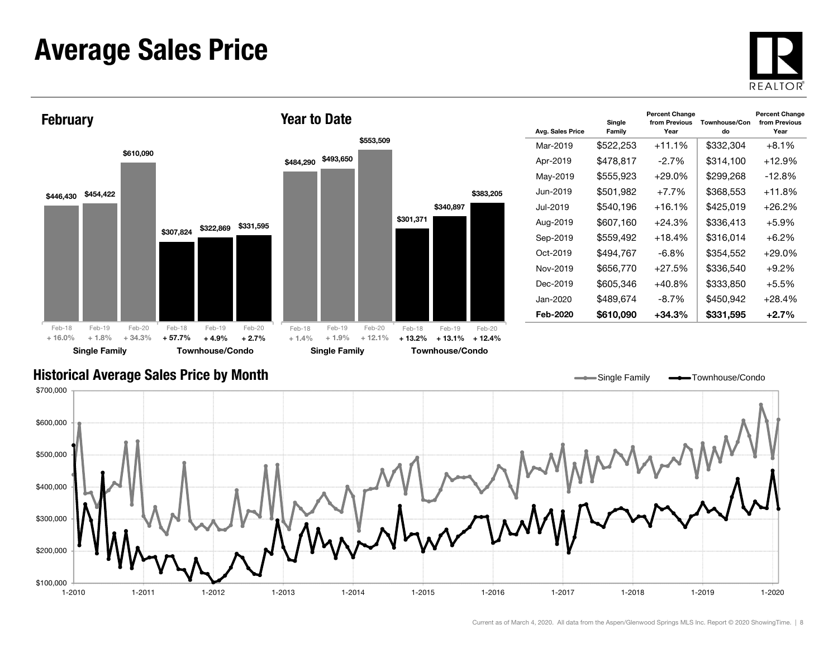#### Average Sales Price





| Avg. Sales Price | Single<br>Family | <b>Percent Change</b><br>from Previous<br>Year | Townhouse/Con<br>do | <b>Percent Change</b><br>from Previous<br>Year |
|------------------|------------------|------------------------------------------------|---------------------|------------------------------------------------|
| Mar-2019         | \$522,253        | $+11.1%$                                       | \$332,304           | $+8.1\%$                                       |
| Apr-2019         | \$478,817        | $-2.7%$                                        | \$314,100           | +12.9%                                         |
| May-2019         | \$555,923        | $+29.0%$                                       | \$299,268           | $-12.8\%$                                      |
| Jun-2019.        | \$501,982        | $+7.7\%$                                       | \$368,553           | +11.8%                                         |
| .Jul-2019        | \$540,196        | $+16.1%$                                       | \$425,019           | +26.2%                                         |
| Aug-2019         | \$607,160        | $+24.3%$                                       | \$336,413           | $+5.9\%$                                       |
| Sep-2019         | \$559,492        | $+18.4%$                                       | \$316,014           | $+6.2%$                                        |
| Oct-2019         | \$494,767        | $-6.8\%$                                       | \$354,552           | +29.0%                                         |
| Nov-2019         | \$656,770        | $+27.5%$                                       | \$336,540           | $+9.2\%$                                       |
| Dec-2019         | \$605,346        | +40.8%                                         | \$333,850           | $+5.5%$                                        |
| Jan-2020.        | \$489.674        | $-8.7%$                                        | \$450,942           | $+28.4%$                                       |
| Feb-2020         | \$610,090        | +34.3%                                         | \$331,595           | $+2.7%$                                        |

Single Family **-** Townhouse/Condo

#### Historical Average Sales Price by Month

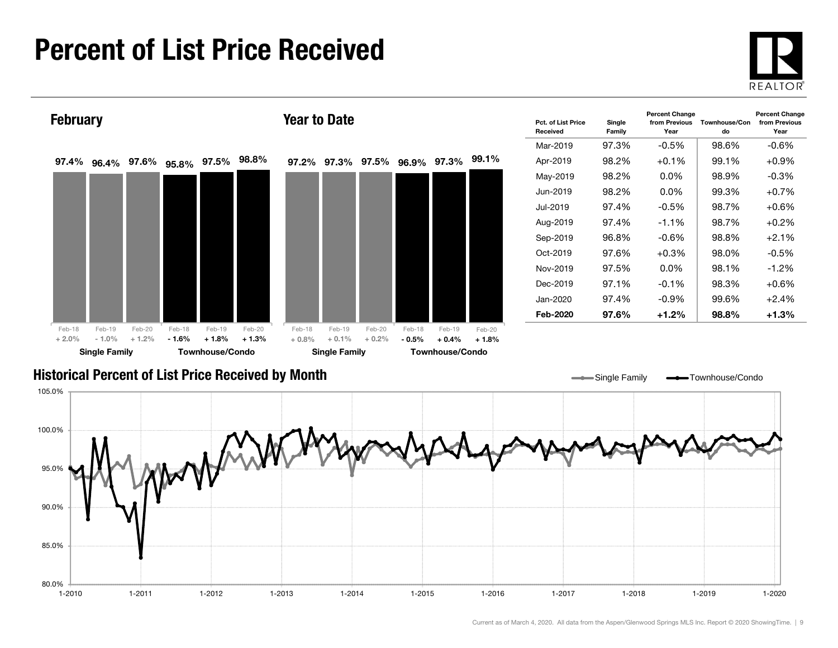### Percent of List Price Received





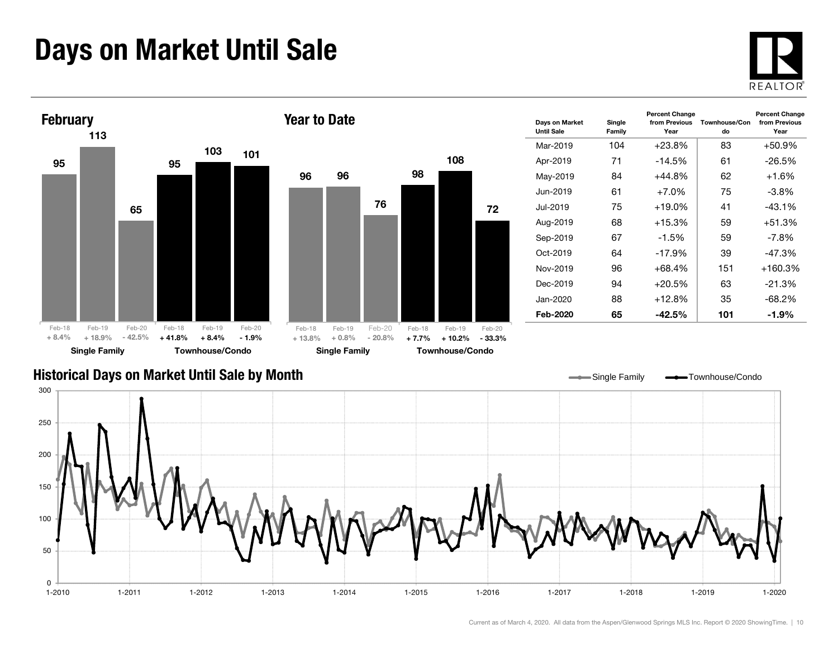### Days on Market Until Sale





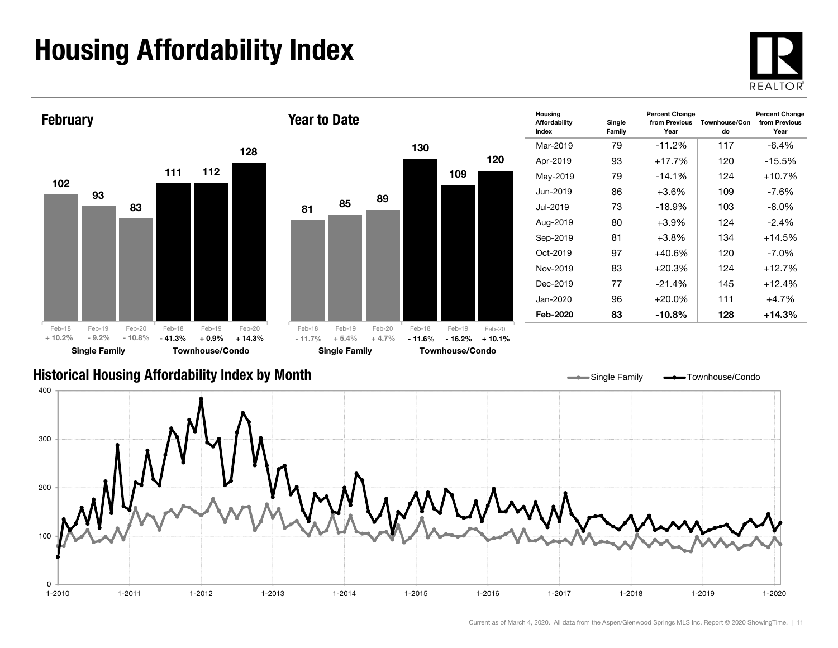## Housing Affordability Index



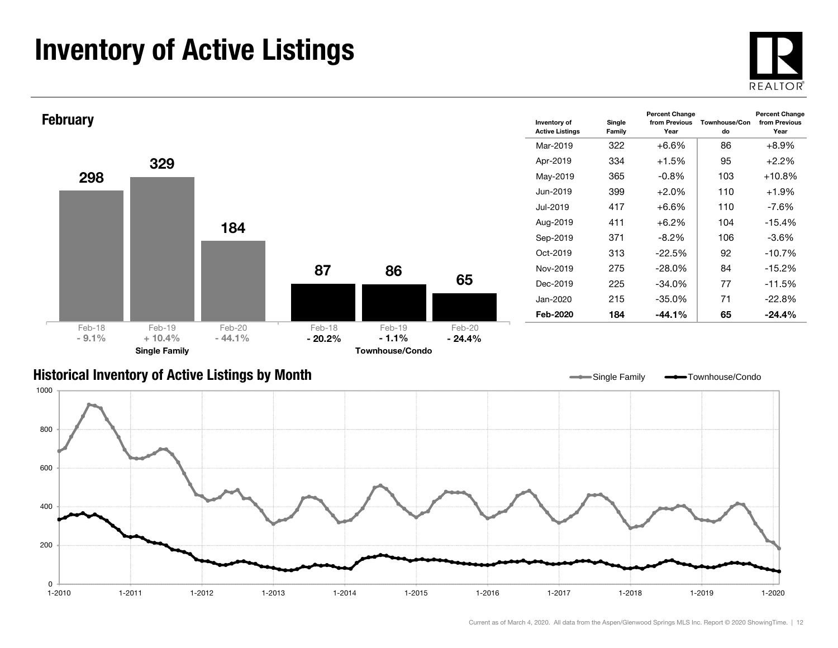### Inventory of Active Listings





#### Historical Inventory of Active Listings by Month

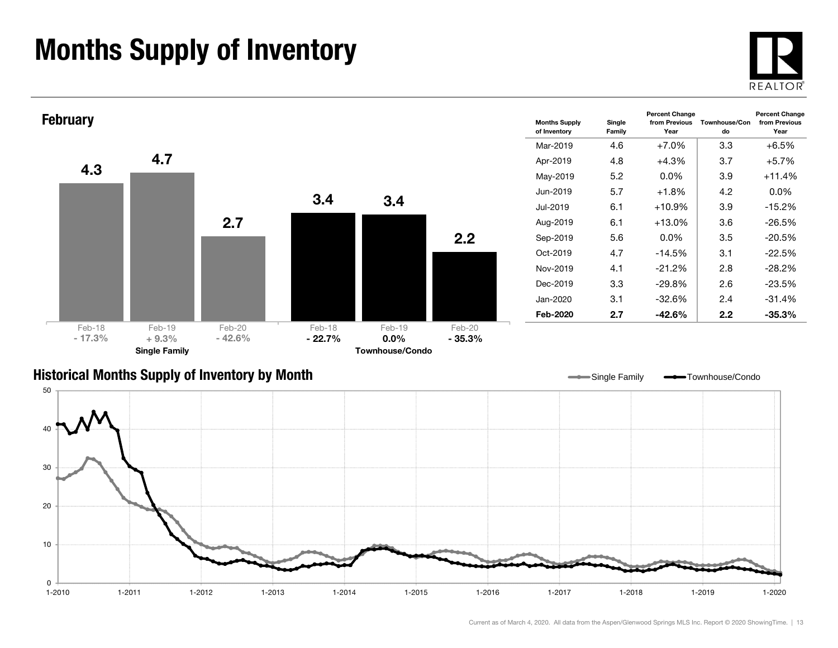### Months Supply of Inventory





#### Historical Months Supply of Inventory by Month

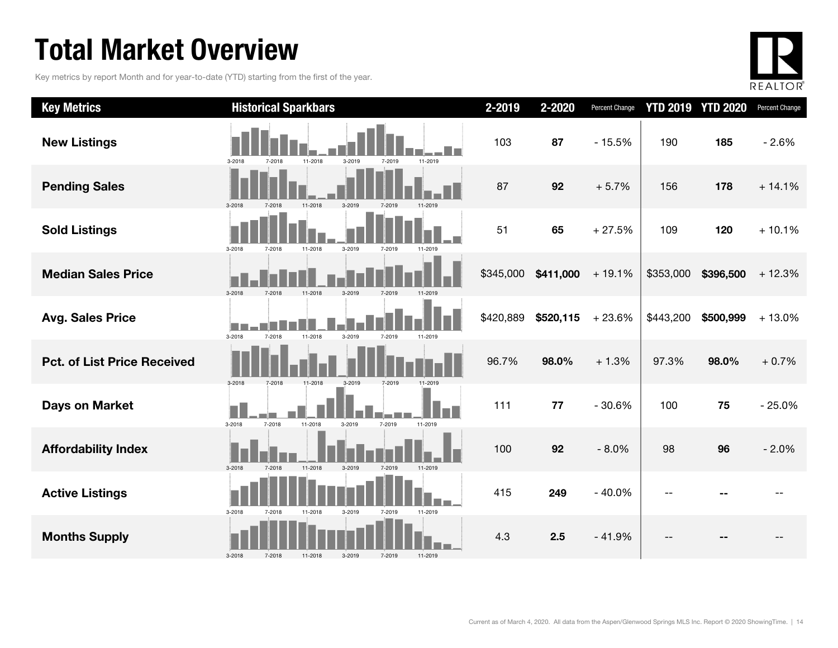### Total Market Overview

Key metrics by report Month and for year-to-date (YTD) starting from the first of the year.



| <b>Key Metrics</b>                 | <b>Historical Sparkbars</b>                                                      | 2-2019    | 2-2020    | Percent Change |           | <b>YTD 2019 YTD 2020</b> | Percent Change |
|------------------------------------|----------------------------------------------------------------------------------|-----------|-----------|----------------|-----------|--------------------------|----------------|
| <b>New Listings</b>                | 11-2018<br>3-2019<br>11-2019<br>3-2018<br>7-2018<br>7-2019                       | 103       | 87        | $-15.5%$       | 190       | 185                      | $-2.6%$        |
| <b>Pending Sales</b>               | 7-2018<br>3-2019<br>3-2018<br>11-2018<br>7-2019                                  | 87        | 92        | $+5.7%$        | 156       | 178                      | $+14.1%$       |
| <b>Sold Listings</b>               | 11-2018<br>3-2019<br>$3 - 2018$<br>7-2018<br>7-2019<br>11-2019                   | 51        | 65        | $+27.5%$       | 109       | 120                      | $+10.1%$       |
| <b>Median Sales Price</b>          | 3-2018<br>7-2018<br>11-2018<br>3-2019<br>7-2019<br>11-2019                       | \$345,000 | \$411,000 | $+19.1%$       | \$353,000 | \$396,500                | $+12.3%$       |
| <b>Avg. Sales Price</b>            | <b>College</b><br>$3 - 2018$<br>7-2018<br>11-2018<br>3-2019<br>7-2019<br>11-2019 | \$420,889 | \$520,115 | $+23.6%$       | \$443,200 | \$500,999                | $+13.0%$       |
| <b>Pct. of List Price Received</b> | 3-2019<br>3-2018<br>7-2018<br>11-2018                                            | 96.7%     | 98.0%     | $+1.3%$        | 97.3%     | 98.0%                    | $+0.7%$        |
| <b>Days on Market</b>              | 3-2018<br>11-2018<br>7-2018<br>3-2019<br>7-2019<br>11-2019                       | 111       | 77        | $-30.6%$       | 100       | 75                       | $-25.0%$       |
| <b>Affordability Index</b>         | 11-2018<br>3-2019<br>$3 - 2018$<br>7-2019<br>11-2019<br>7-2018                   | 100       | 92        | $-8.0%$        | 98        | 96                       | $-2.0%$        |
| <b>Active Listings</b>             | 3-2018<br>11-2018<br>3-2019<br>7-2018<br>7-2019<br>11-2019                       | 415       | 249       | $-40.0%$       |           |                          |                |
| <b>Months Supply</b>               | 3-2018<br>7-2018<br>11-2018<br>3-2019<br>7-2019<br>11-2019                       | 4.3       | 2.5       | $-41.9%$       |           |                          |                |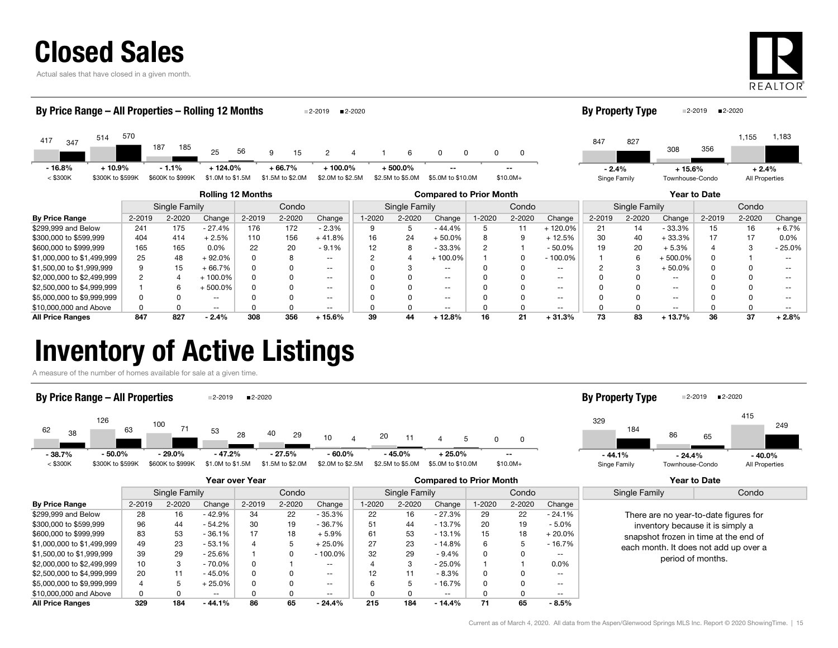| <b>Closed Sales</b> |
|---------------------|
|---------------------|

Actual sales that have closed in a given month.



| By Price Range - All Properties - Rolling 12 Months<br>■2-2020<br>2-2019   |                              |                             |                               |          |                             |                                |        |                               |                            |        | <b>By Property Type</b> |                          |                         | ■2-2020<br>2-2019 |                             |        |                           |                   |
|----------------------------------------------------------------------------|------------------------------|-----------------------------|-------------------------------|----------|-----------------------------|--------------------------------|--------|-------------------------------|----------------------------|--------|-------------------------|--------------------------|-------------------------|-------------------|-----------------------------|--------|---------------------------|-------------------|
| 514<br>417<br>347                                                          | 570                          | 187<br>185                  | 25                            | 56       | 15<br>9                     | 2                              |        | 6                             | $\Omega$<br><sup>0</sup>   |        | 0                       |                          | 847                     | 827               | 308                         | 356    | 1,155                     | 1,183             |
| $-16.8%$<br>$<$ \$300K                                                     | $+10.9%$<br>\$300K to \$599K | $-1.1%$<br>\$600K to \$999K | $+124.0%$<br>\$1.0M to \$1.5M |          | + 66.7%<br>\$1.5M to \$2.0M | $+100.0\%$<br>\$2.0M to \$2.5M |        | $+500.0%$<br>\$2.5M to \$5.0M | $- -$<br>\$5.0M to \$10.0M |        | --<br>$$10.0M+$         |                          | $-2.4%$<br>Singe Family |                   | $+15.6%$<br>Townhouse-Condo |        | $+2.4%$<br>All Properties |                   |
| <b>Rolling 12 Months</b><br>Year to Date<br><b>Compared to Prior Month</b> |                              |                             |                               |          |                             |                                |        |                               |                            |        |                         |                          |                         |                   |                             |        |                           |                   |
|                                                                            |                              | Single Family               |                               |          | Condo                       |                                |        | Single Family                 |                            |        | Condo                   |                          | Condo<br>Single Family  |                   |                             |        |                           |                   |
| <b>By Price Range</b>                                                      | $2 - 2019$                   | 2-2020                      | Change                        | 2-2019   | 2-2020                      | Change                         | 1-2020 | 2-2020                        | Change                     | 1-2020 | 2-2020                  | Change                   | 2-2019                  | 2-2020            | Change                      | 2-2019 | 2-2020                    | Change            |
| \$299,999 and Below                                                        | 241                          | 175                         | - 27.4%                       | 176      | 172                         | - 2.3%                         | 9      | 5                             | - 44.4%                    |        | 11                      | +120.0%                  | 21                      | 14                | - 33.3%                     | 15     | 16                        | $+6.7%$           |
| \$300,000 to \$599,999                                                     | 404                          | 414                         | $+2.5%$                       | 110      | 156                         | $+41.8%$                       | 16     | 24                            | $+50.0%$                   |        | 9                       | $+12.5%$                 | 30                      | 40                | $+33.3%$                    | 17     | 17                        | $0.0\%$           |
| \$600,000 to \$999,999                                                     | 165                          | 165                         | 0.0%                          | 22       | 20                          | $-9.1%$                        | 12     | 8                             | $-33.3%$                   |        |                         | $-50.0%$                 | 19                      | 20                | $+5.3%$                     |        |                           | $-25.0%$          |
| \$1,000,000 to \$1,499,999                                                 | 25                           | 48                          | $+92.0%$                      | $\Omega$ | 8                           | $- -$                          | C      |                               | $+100.0%$                  |        |                         | $-100.0%$                |                         | 6                 | $+500.0\%$                  |        |                           | $\qquad \qquad -$ |
| \$1,500,00 to \$1,999,999                                                  | 9                            | 15                          | $+66.7%$                      | $\Omega$ | O                           | $\overline{\phantom{a}}$       |        | 3                             | $\sim$ $\sim$              |        |                         | $\overline{\phantom{a}}$ |                         | 3                 | $+50.0%$                    |        |                           | $- -$             |
| \$2,000,000 to \$2,499,999                                                 | 2                            | $\overline{4}$              | $+100.0\%$                    | $\Omega$ |                             | $\overline{\phantom{a}}$       |        |                               | $\overline{\phantom{a}}$   |        |                         | $\sim$ $\sim$            |                         |                   | $\sim$ $\sim$               |        |                           | $\qquad \qquad -$ |
| \$2,500,000 to \$4,999,999                                                 |                              | 6                           | $+500.0\%$                    | $\Omega$ | O                           | $- -$                          |        |                               | $\sim$ $\sim$              |        |                         | $- -$                    |                         |                   | $\sim$ $\sim$               |        |                           |                   |
| \$5,000,000 to \$9,999,999                                                 |                              |                             | $- -$                         |          |                             | $- -$                          |        |                               | $- -$                      |        |                         | $- -$                    |                         |                   | $\sim$ $\sim$               |        |                           |                   |

All Price Ranges 847 827 - 2.4% 308 356 + 15.6% 39 44 + 12.8% 16 21 + 31.3% 73 83 + 13.7% 36 37 + 2.8%

#### Inventory of Active Listings

A measure of the number of homes available for sale at a given time.



 $\frac{$10,000,000 \text{ and Above}}{0}$  0 0 -- 0 0 -- 0 0 -- 0 0 -- 0 0 -- 0 0 -- 0 0 -- 0 0 0 -- 0 0 -- 0 0 0 -- 0 0 0 -- 0 0 0 -- 0 0 0 -- 0 0 0 -- 0 0 0 -- 0 0 0 -- 0 0 0 -- 0 0 0 -- 0 0 0 -- 0 0 0 -- 0 0 0 -- 0 0 0 -- 0 0 0 -- 0 0 0

|                            | <b>Year over Year</b> |        |         |        |        |               | <b>Compared to Prior Month</b> |        |           |        |        |               | Year to Date                                                                                                                                                |       |
|----------------------------|-----------------------|--------|---------|--------|--------|---------------|--------------------------------|--------|-----------|--------|--------|---------------|-------------------------------------------------------------------------------------------------------------------------------------------------------------|-------|
|                            | Single Family         |        |         | Condo  |        |               | Single Family                  |        |           | Condo  |        |               | Single Family                                                                                                                                               | Condo |
| <b>By Price Range</b>      | 2-2019                | 2-2020 | Change  | 2-2019 | 2-2020 | Change        | 1-2020                         | 2-2020 | Change    | 1-2020 | 2-2020 | Change        |                                                                                                                                                             |       |
| \$299,999 and Below        | 28                    | 16     | - 42.9% | 34     | 22     | $-35.3%$      | 22                             | 16     | - 27.3%   | 29     | 22     | $-24.1%$      | There are no year-to-date figures for<br>inventory because it is simply a<br>snapshot frozen in time at the end of<br>each month. It does not add up over a |       |
| \$300,000 to \$599,999     | 96                    | 44     | - 54.2% | 30     | 19     | - 36.7%       | 51                             | 44     | $-13.7%$  | 20     | 19     | - 5.0%        |                                                                                                                                                             |       |
| \$600,000 to \$999,999     | 83                    | 53     | - 36.1% | 17     | 18     | $+5.9%$       | 61                             | 53     | $-13.1%$  | 15     | 18     | $+20.0\%$     |                                                                                                                                                             |       |
| \$1,000,000 to \$1,499,999 | 49                    | 23     | - 53.1% | 4      |        | $+25.0%$      | 27                             | 23     | $-14.8%$  | 6      |        | $-16.7%$      |                                                                                                                                                             |       |
| \$1,500,00 to \$1,999,999  | 39                    | 29     | - 25.6% |        | 0      | $-100.0\%$    | 32                             | 29     | - 9.4%    |        |        | $- -$         |                                                                                                                                                             |       |
| \$2,000,000 to \$2,499,999 | 10                    | 3      | - 70.0% | 0      |        | $- -$         |                                | 3      | $-25.0\%$ |        |        | $0.0\%$       | period of months.                                                                                                                                           |       |
| \$2,500,000 to \$4,999,999 | 20                    | 11     | - 45.0% | 0      | 0      | $\sim$ $\sim$ | 12                             | 11     | $-8.3%$   |        |        | $\sim$ $\sim$ |                                                                                                                                                             |       |
| \$5,000,000 to \$9,999,999 |                       | 5      | - 25.0% | 0      | 0      | $- -$         |                                |        | $-16.7%$  |        |        | $- -$         |                                                                                                                                                             |       |
| \$10,000,000 and Above     | 0                     | 0      | $- -$   | 0      |        | $- -$         |                                |        | $- -$     |        |        | $- -$         |                                                                                                                                                             |       |
| <b>All Price Ranges</b>    | 329                   | 184    | - 44.1% | 86     | 65     | $-24.4%$      | 215                            | 184    | $-14.4%$  | 71     | 65     | - 8.5%        |                                                                                                                                                             |       |